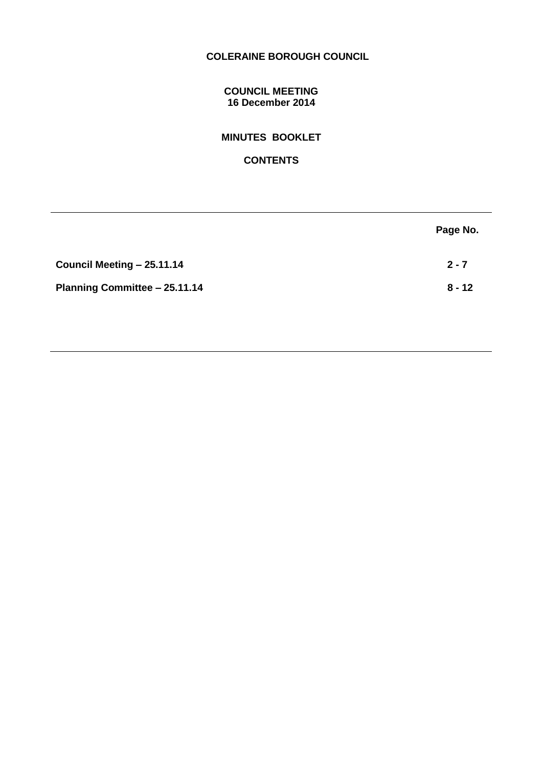# **COLERAINE BOROUGH COUNCIL**

#### **COUNCIL MEETING 16 December 2014**

# **MINUTES BOOKLET**

**CONTENTS**

|                               | Page No. |
|-------------------------------|----------|
| Council Meeting - 25.11.14    | $2 - 7$  |
| Planning Committee - 25.11.14 | $8 - 12$ |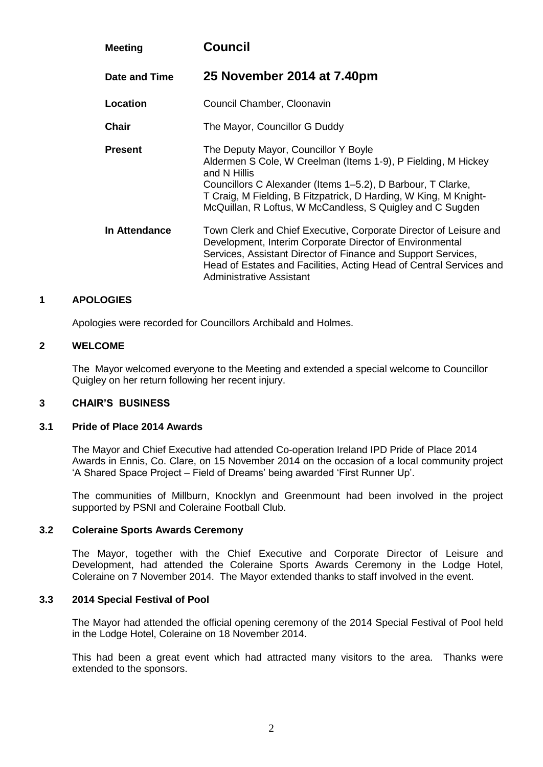| <b>Meeting</b> | <b>Council</b>                                                                                                                                                                                                                                                                                                        |
|----------------|-----------------------------------------------------------------------------------------------------------------------------------------------------------------------------------------------------------------------------------------------------------------------------------------------------------------------|
| Date and Time  | 25 November 2014 at 7.40pm                                                                                                                                                                                                                                                                                            |
| Location       | Council Chamber, Cloonavin                                                                                                                                                                                                                                                                                            |
| <b>Chair</b>   | The Mayor, Councillor G Duddy                                                                                                                                                                                                                                                                                         |
| <b>Present</b> | The Deputy Mayor, Councillor Y Boyle<br>Aldermen S Cole, W Creelman (Items 1-9), P Fielding, M Hickey<br>and N Hillis<br>Councillors C Alexander (Items 1–5.2), D Barbour, T Clarke,<br>T Craig, M Fielding, B Fitzpatrick, D Harding, W King, M Knight-<br>McQuillan, R Loftus, W McCandless, S Quigley and C Sugden |
| In Attendance  | Town Clerk and Chief Executive, Corporate Director of Leisure and<br>Development, Interim Corporate Director of Environmental<br>Services, Assistant Director of Finance and Support Services,<br>Head of Estates and Facilities, Acting Head of Central Services and<br>Administrative Assistant                     |

## **1 APOLOGIES**

Apologies were recorded for Councillors Archibald and Holmes.

#### **2 WELCOME**

The Mayor welcomed everyone to the Meeting and extended a special welcome to Councillor Quigley on her return following her recent injury.

## **3 CHAIR'S BUSINESS**

#### **3.1 Pride of Place 2014 Awards**

The Mayor and Chief Executive had attended Co-operation Ireland IPD Pride of Place 2014 Awards in Ennis, Co. Clare, on 15 November 2014 on the occasion of a local community project 'A Shared Space Project – Field of Dreams' being awarded 'First Runner Up'.

The communities of Millburn, Knocklyn and Greenmount had been involved in the project supported by PSNI and Coleraine Football Club.

#### **3.2 Coleraine Sports Awards Ceremony**

The Mayor, together with the Chief Executive and Corporate Director of Leisure and Development, had attended the Coleraine Sports Awards Ceremony in the Lodge Hotel, Coleraine on 7 November 2014. The Mayor extended thanks to staff involved in the event.

#### **3.3 2014 Special Festival of Pool**

The Mayor had attended the official opening ceremony of the 2014 Special Festival of Pool held in the Lodge Hotel, Coleraine on 18 November 2014.

This had been a great event which had attracted many visitors to the area. Thanks were extended to the sponsors.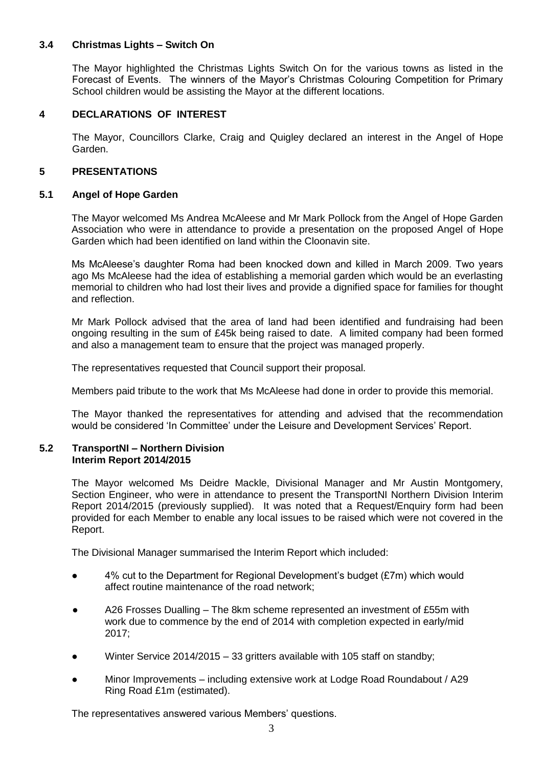## **3.4 Christmas Lights – Switch On**

The Mayor highlighted the Christmas Lights Switch On for the various towns as listed in the Forecast of Events. The winners of the Mayor's Christmas Colouring Competition for Primary School children would be assisting the Mayor at the different locations.

## **4 DECLARATIONS OF INTEREST**

The Mayor, Councillors Clarke, Craig and Quigley declared an interest in the Angel of Hope Garden.

## **5 PRESENTATIONS**

## **5.1 Angel of Hope Garden**

The Mayor welcomed Ms Andrea McAleese and Mr Mark Pollock from the Angel of Hope Garden Association who were in attendance to provide a presentation on the proposed Angel of Hope Garden which had been identified on land within the Cloonavin site.

Ms McAleese's daughter Roma had been knocked down and killed in March 2009. Two years ago Ms McAleese had the idea of establishing a memorial garden which would be an everlasting memorial to children who had lost their lives and provide a dignified space for families for thought and reflection.

Mr Mark Pollock advised that the area of land had been identified and fundraising had been ongoing resulting in the sum of £45k being raised to date. A limited company had been formed and also a management team to ensure that the project was managed properly.

The representatives requested that Council support their proposal.

Members paid tribute to the work that Ms McAleese had done in order to provide this memorial.

The Mayor thanked the representatives for attending and advised that the recommendation would be considered 'In Committee' under the Leisure and Development Services' Report.

#### **5.2 TransportNI – Northern Division Interim Report 2014/2015**

The Mayor welcomed Ms Deidre Mackle, Divisional Manager and Mr Austin Montgomery, Section Engineer, who were in attendance to present the TransportNI Northern Division Interim Report 2014/2015 (previously supplied). It was noted that a Request/Enquiry form had been provided for each Member to enable any local issues to be raised which were not covered in the Report.

The Divisional Manager summarised the Interim Report which included:

- 4% cut to the Department for Regional Development's budget (£7m) which would affect routine maintenance of the road network;
- A26 Frosses Dualling The 8km scheme represented an investment of £55m with work due to commence by the end of 2014 with completion expected in early/mid 2017;
- Winter Service 2014/2015 33 gritters available with 105 staff on standby;
- Minor Improvements including extensive work at Lodge Road Roundabout / A29 Ring Road £1m (estimated).

The representatives answered various Members' questions.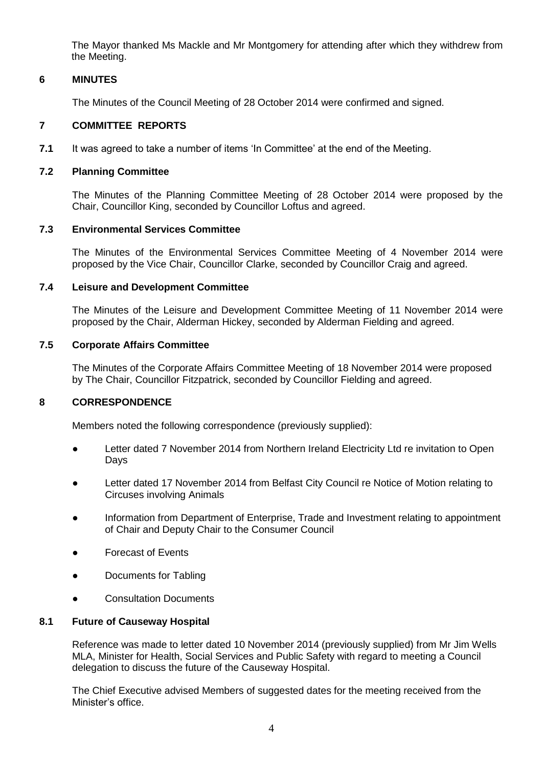The Mayor thanked Ms Mackle and Mr Montgomery for attending after which they withdrew from the Meeting.

## **6 MINUTES**

The Minutes of the Council Meeting of 28 October 2014 were confirmed and signed.

#### **7 COMMITTEE REPORTS**

**7.1** It was agreed to take a number of items 'In Committee' at the end of the Meeting.

#### **7.2 Planning Committee**

The Minutes of the Planning Committee Meeting of 28 October 2014 were proposed by the Chair, Councillor King, seconded by Councillor Loftus and agreed.

## **7.3 Environmental Services Committee**

The Minutes of the Environmental Services Committee Meeting of 4 November 2014 were proposed by the Vice Chair, Councillor Clarke, seconded by Councillor Craig and agreed.

#### **7.4 Leisure and Development Committee**

The Minutes of the Leisure and Development Committee Meeting of 11 November 2014 were proposed by the Chair, Alderman Hickey, seconded by Alderman Fielding and agreed.

## **7.5 Corporate Affairs Committee**

The Minutes of the Corporate Affairs Committee Meeting of 18 November 2014 were proposed by The Chair, Councillor Fitzpatrick, seconded by Councillor Fielding and agreed.

## **8 CORRESPONDENCE**

Members noted the following correspondence (previously supplied):

- Letter dated 7 November 2014 from Northern Ireland Electricity Ltd re invitation to Open Days
- Letter dated 17 November 2014 from Belfast City Council re Notice of Motion relating to Circuses involving Animals
- Information from Department of Enterprise, Trade and Investment relating to appointment of Chair and Deputy Chair to the Consumer Council
- **Forecast of Events**
- Documents for Tabling
- Consultation Documents

#### **8.1 Future of Causeway Hospital**

Reference was made to letter dated 10 November 2014 (previously supplied) from Mr Jim Wells MLA, Minister for Health, Social Services and Public Safety with regard to meeting a Council delegation to discuss the future of the Causeway Hospital.

The Chief Executive advised Members of suggested dates for the meeting received from the Minister's office.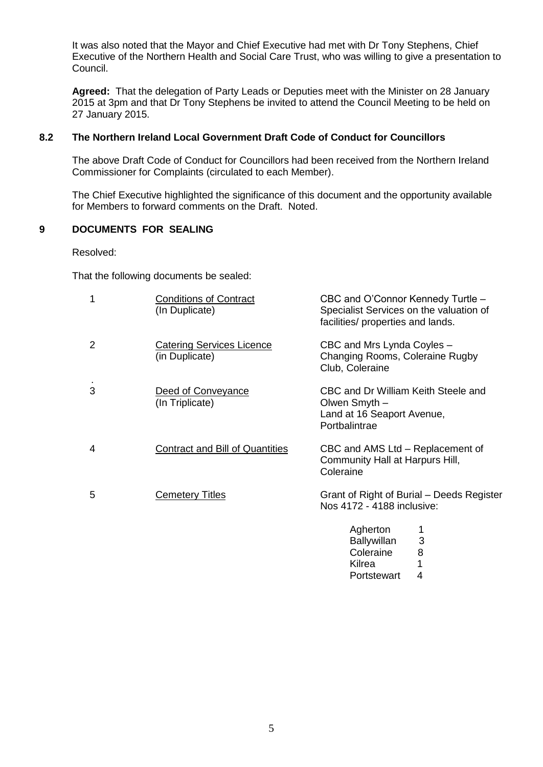It was also noted that the Mayor and Chief Executive had met with Dr Tony Stephens, Chief Executive of the Northern Health and Social Care Trust, who was willing to give a presentation to Council.

**Agreed:** That the delegation of Party Leads or Deputies meet with the Minister on 28 January 2015 at 3pm and that Dr Tony Stephens be invited to attend the Council Meeting to be held on 27 January 2015.

## **8.2 The Northern Ireland Local Government Draft Code of Conduct for Councillors**

The above Draft Code of Conduct for Councillors had been received from the Northern Ireland Commissioner for Complaints (circulated to each Member).

The Chief Executive highlighted the significance of this document and the opportunity available for Members to forward comments on the Draft. Noted.

## **9 DOCUMENTS FOR SEALING**

Resolved:

That the following documents be sealed:

| 1 | <b>Conditions of Contract</b><br>(In Duplicate)    | CBC and O'Connor Kennedy Turtle -<br>Specialist Services on the valuation of<br>facilities/ properties and lands. |
|---|----------------------------------------------------|-------------------------------------------------------------------------------------------------------------------|
| 2 | <b>Catering Services Licence</b><br>(in Duplicate) | CBC and Mrs Lynda Coyles -<br>Changing Rooms, Coleraine Rugby<br>Club, Coleraine                                  |
| 3 | Deed of Conveyance<br>(In Triplicate)              | CBC and Dr William Keith Steele and<br>Olwen Smyth -<br>Land at 16 Seaport Avenue,<br>Portbalintrae               |
| 4 | <b>Contract and Bill of Quantities</b>             | CBC and AMS Ltd – Replacement of<br>Community Hall at Harpurs Hill,<br>Coleraine                                  |
| 5 | <b>Cemetery Titles</b>                             | Grant of Right of Burial – Deeds Register<br>Nos 4172 - 4188 inclusive:                                           |
|   |                                                    | Anharton                                                                                                          |

| Agherton           | 1 |
|--------------------|---|
| <b>Ballywillan</b> | 3 |
| Coleraine          | 8 |
| Kilrea             | 1 |
| Portstewart        | 4 |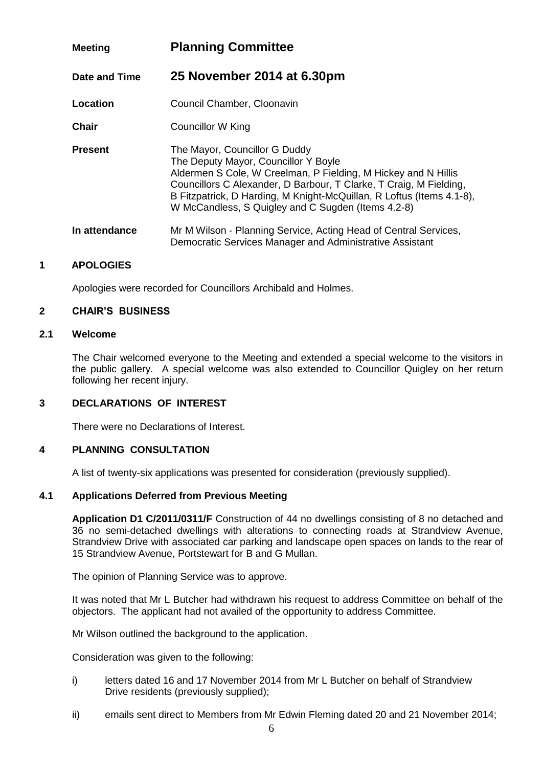# **Meeting Planning Committee**

**Date and Time 25 November 2014 at 6.30pm**

**Location Council Chamber, Cloonavin** 

**Chair** Councillor W King

**Present** The Mayor, Councillor G Duddy The Deputy Mayor, Councillor Y Boyle Aldermen S Cole, W Creelman, P Fielding, M Hickey and N Hillis Councillors C Alexander, D Barbour, T Clarke, T Craig, M Fielding, B Fitzpatrick, D Harding, M Knight-McQuillan, R Loftus (Items 4.1-8), W McCandless, S Quigley and C Sugden (Items 4.2-8)

**In attendance** Mr M Wilson - Planning Service, Acting Head of Central Services, Democratic Services Manager and Administrative Assistant

## **1 APOLOGIES**

Apologies were recorded for Councillors Archibald and Holmes.

## **2 CHAIR'S BUSINESS**

## **2.1 Welcome**

The Chair welcomed everyone to the Meeting and extended a special welcome to the visitors in the public gallery. A special welcome was also extended to Councillor Quigley on her return following her recent injury.

## **3 DECLARATIONS OF INTEREST**

There were no Declarations of Interest.

#### **4 PLANNING CONSULTATION**

A list of twenty-six applications was presented for consideration (previously supplied).

## **4.1 Applications Deferred from Previous Meeting**

**Application D1 C/2011/0311/F** Construction of 44 no dwellings consisting of 8 no detached and 36 no semi-detached dwellings with alterations to connecting roads at Strandview Avenue, Strandview Drive with associated car parking and landscape open spaces on lands to the rear of 15 Strandview Avenue, Portstewart for B and G Mullan.

The opinion of Planning Service was to approve.

It was noted that Mr L Butcher had withdrawn his request to address Committee on behalf of the objectors. The applicant had not availed of the opportunity to address Committee.

Mr Wilson outlined the background to the application.

Consideration was given to the following:

- i) letters dated 16 and 17 November 2014 from Mr L Butcher on behalf of Strandview Drive residents (previously supplied);
- ii) emails sent direct to Members from Mr Edwin Fleming dated 20 and 21 November 2014;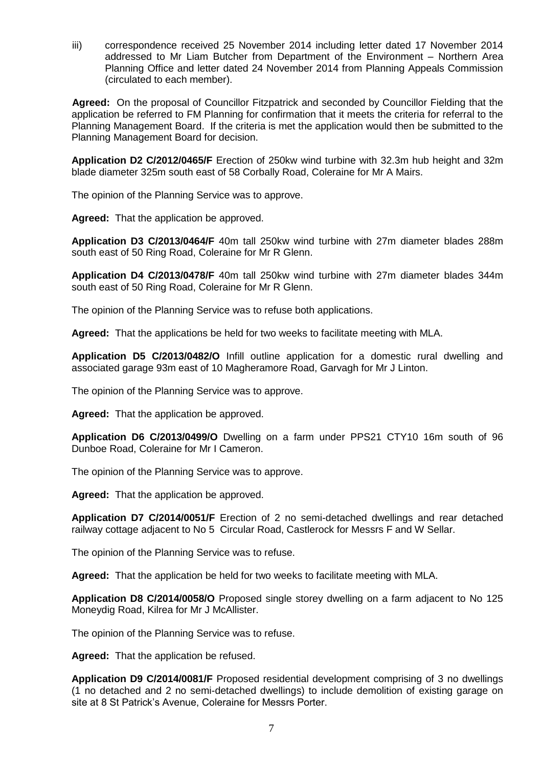iii) correspondence received 25 November 2014 including letter dated 17 November 2014 addressed to Mr Liam Butcher from Department of the Environment – Northern Area Planning Office and letter dated 24 November 2014 from Planning Appeals Commission (circulated to each member).

**Agreed:** On the proposal of Councillor Fitzpatrick and seconded by Councillor Fielding that the application be referred to FM Planning for confirmation that it meets the criteria for referral to the Planning Management Board. If the criteria is met the application would then be submitted to the Planning Management Board for decision.

**Application D2 C/2012/0465/F** Erection of 250kw wind turbine with 32.3m hub height and 32m blade diameter 325m south east of 58 Corbally Road, Coleraine for Mr A Mairs.

The opinion of the Planning Service was to approve.

**Agreed:** That the application be approved.

**Application D3 C/2013/0464/F** 40m tall 250kw wind turbine with 27m diameter blades 288m south east of 50 Ring Road, Coleraine for Mr R Glenn.

**Application D4 C/2013/0478/F** 40m tall 250kw wind turbine with 27m diameter blades 344m south east of 50 Ring Road, Coleraine for Mr R Glenn.

The opinion of the Planning Service was to refuse both applications.

**Agreed:** That the applications be held for two weeks to facilitate meeting with MLA.

**Application D5 C/2013/0482/O** Infill outline application for a domestic rural dwelling and associated garage 93m east of 10 Magheramore Road, Garvagh for Mr J Linton.

The opinion of the Planning Service was to approve.

**Agreed:** That the application be approved.

**Application D6 C/2013/0499/O** Dwelling on a farm under PPS21 CTY10 16m south of 96 Dunboe Road, Coleraine for Mr I Cameron.

The opinion of the Planning Service was to approve.

**Agreed:** That the application be approved.

**Application D7 C/2014/0051/F** Erection of 2 no semi-detached dwellings and rear detached railway cottage adjacent to No 5 Circular Road, Castlerock for Messrs F and W Sellar.

The opinion of the Planning Service was to refuse.

**Agreed:** That the application be held for two weeks to facilitate meeting with MLA.

**Application D8 C/2014/0058/O** Proposed single storey dwelling on a farm adjacent to No 125 Moneydig Road, Kilrea for Mr J McAllister.

The opinion of the Planning Service was to refuse.

**Agreed:** That the application be refused.

**Application D9 C/2014/0081/F** Proposed residential development comprising of 3 no dwellings (1 no detached and 2 no semi-detached dwellings) to include demolition of existing garage on site at 8 St Patrick's Avenue, Coleraine for Messrs Porter.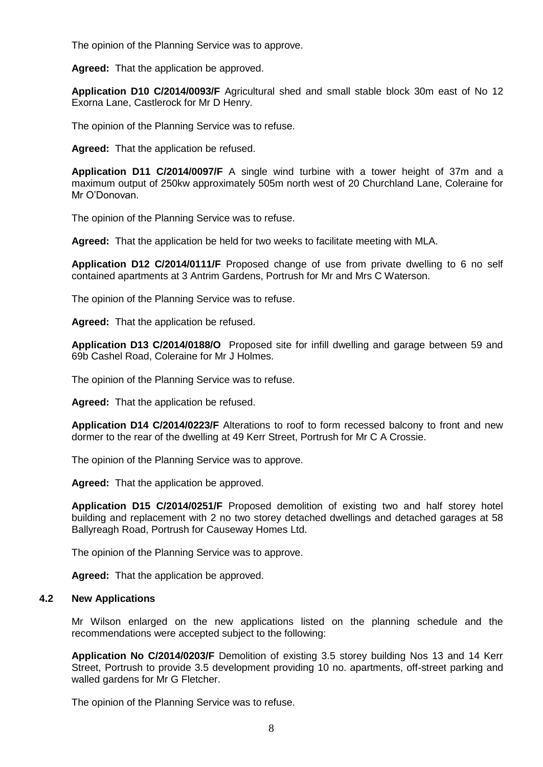The opinion of the Planning Service was to approve.

**Agreed:** That the application be approved.

**Application D10 C/2014/0093/F** Agricultural shed and small stable block 30m east of No 12 Exorna Lane, Castlerock for Mr D Henry.

The opinion of the Planning Service was to refuse.

**Agreed:** That the application be refused.

**Application D11 C/2014/0097/F** A single wind turbine with a tower height of 37m and a maximum output of 250kw approximately 505m north west of 20 Churchland Lane, Coleraine for Mr O'Donovan.

The opinion of the Planning Service was to refuse.

**Agreed:** That the application be held for two weeks to facilitate meeting with MLA.

**Application D12 C/2014/0111/F** Proposed change of use from private dwelling to 6 no self contained apartments at 3 Antrim Gardens, Portrush for Mr and Mrs C Waterson.

The opinion of the Planning Service was to refuse.

**Agreed:** That the application be refused.

**Application D13 C/2014/0188/O** Proposed site for infill dwelling and garage between 59 and 69b Cashel Road, Coleraine for Mr J Holmes.

The opinion of the Planning Service was to refuse.

**Agreed:** That the application be refused.

**Application D14 C/2014/0223/F** Alterations to roof to form recessed balcony to front and new dormer to the rear of the dwelling at 49 Kerr Street, Portrush for Mr C A Crossie.

The opinion of the Planning Service was to approve.

**Agreed:** That the application be approved.

**Application D15 C/2014/0251/F** Proposed demolition of existing two and half storey hotel building and replacement with 2 no two storey detached dwellings and detached garages at 58 Ballyreagh Road, Portrush for Causeway Homes Ltd.

The opinion of the Planning Service was to approve.

**Agreed:** That the application be approved.

#### **4.2 New Applications**

Mr Wilson enlarged on the new applications listed on the planning schedule and the recommendations were accepted subject to the following:

**Application No C/2014/0203/F** Demolition of existing 3.5 storey building Nos 13 and 14 Kerr Street, Portrush to provide 3.5 development providing 10 no. apartments, off-street parking and walled gardens for Mr G Fletcher.

The opinion of the Planning Service was to refuse.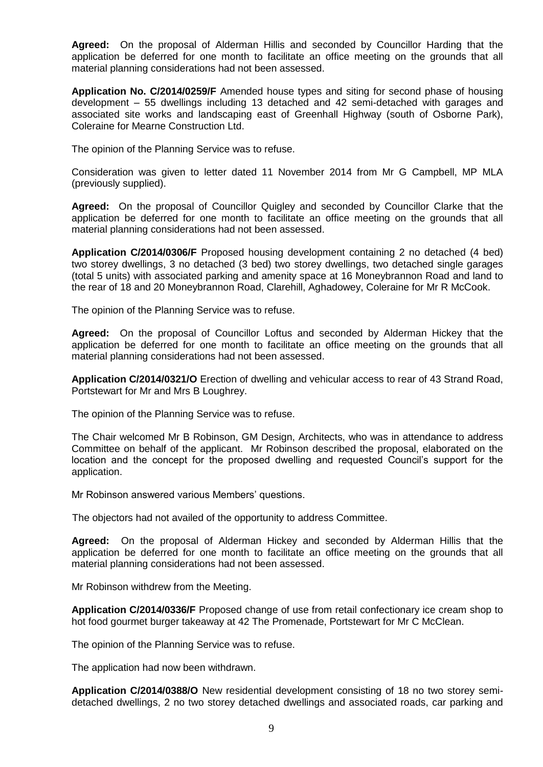**Agreed:** On the proposal of Alderman Hillis and seconded by Councillor Harding that the application be deferred for one month to facilitate an office meeting on the grounds that all material planning considerations had not been assessed.

**Application No. C/2014/0259/F** Amended house types and siting for second phase of housing development – 55 dwellings including 13 detached and 42 semi-detached with garages and associated site works and landscaping east of Greenhall Highway (south of Osborne Park), Coleraine for Mearne Construction Ltd.

The opinion of the Planning Service was to refuse.

Consideration was given to letter dated 11 November 2014 from Mr G Campbell, MP MLA (previously supplied).

**Agreed:** On the proposal of Councillor Quigley and seconded by Councillor Clarke that the application be deferred for one month to facilitate an office meeting on the grounds that all material planning considerations had not been assessed.

**Application C/2014/0306/F** Proposed housing development containing 2 no detached (4 bed) two storey dwellings, 3 no detached (3 bed) two storey dwellings, two detached single garages (total 5 units) with associated parking and amenity space at 16 Moneybrannon Road and land to the rear of 18 and 20 Moneybrannon Road, Clarehill, Aghadowey, Coleraine for Mr R McCook.

The opinion of the Planning Service was to refuse.

**Agreed:** On the proposal of Councillor Loftus and seconded by Alderman Hickey that the application be deferred for one month to facilitate an office meeting on the grounds that all material planning considerations had not been assessed.

**Application C/2014/0321/O** Erection of dwelling and vehicular access to rear of 43 Strand Road, Portstewart for Mr and Mrs B Loughrey.

The opinion of the Planning Service was to refuse.

The Chair welcomed Mr B Robinson, GM Design, Architects, who was in attendance to address Committee on behalf of the applicant. Mr Robinson described the proposal, elaborated on the location and the concept for the proposed dwelling and requested Council's support for the application.

Mr Robinson answered various Members' questions.

The objectors had not availed of the opportunity to address Committee.

**Agreed:** On the proposal of Alderman Hickey and seconded by Alderman Hillis that the application be deferred for one month to facilitate an office meeting on the grounds that all material planning considerations had not been assessed.

Mr Robinson withdrew from the Meeting.

**Application C/2014/0336/F** Proposed change of use from retail confectionary ice cream shop to hot food gourmet burger takeaway at 42 The Promenade, Portstewart for Mr C McClean.

The opinion of the Planning Service was to refuse.

The application had now been withdrawn.

**Application C/2014/0388/O** New residential development consisting of 18 no two storey semidetached dwellings, 2 no two storey detached dwellings and associated roads, car parking and